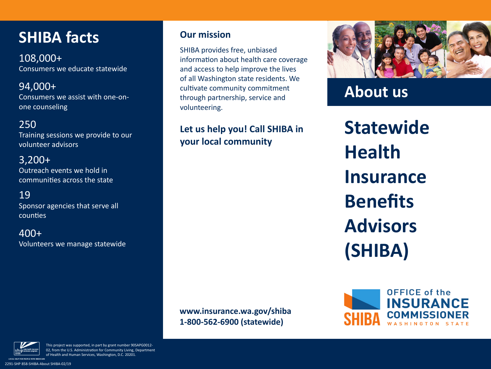# **SHIBA facts**

108,000+ Consumers we educate statewide

#### 94,000+ Consumers we assist with one-onone counseling

# 250

Training sessions we provide to our volunteer advisors

#### 3,200+

Outreach events we hold in communities across the state

# 19

Sponsor agencies that serve all counties

400+ Volunteers we manage statewide

### **Our mission**

SHIBA provides free, unbiased information about health care coverage and access to help improve the lives of all Washington state residents. We cultivate community commitment through partnership, service and volunteering.

**Let us help you! Call SHIBA in your local community**



**About us**

**Statewide Health Insurance Benefits Advisors (SHIBA)**



**www.insurance.wa.gov/shiba 1-800-562-6900 (statewide)**



This project was supported, in part by grant number 90SAPG0012- 02, from the U.S. Administration for Community Living, Department of Health and Human Services, Washington, D.C. 20201.

2291-SHP 858-SHIBA-About SHIBA-02/19